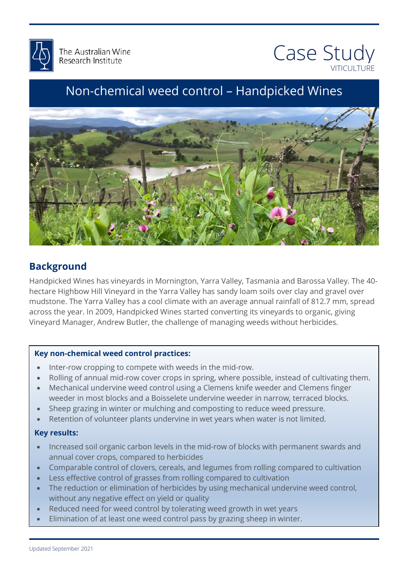



# Non-chemical weed control – Handpicked Wines



# **Background**

Handpicked Wines has vineyards in Mornington, Yarra Valley, Tasmania and Barossa Valley. The<br>hectare Highbow Hill Vineyard in the Yarra Valley has sandy loam soils over clay and gravel over ''<br>ey<br>'' Handpicked Wines has vineyards in Mornington, Yarra Valley, Tasmania and Barossa Valley. The 40 mudstone. The Yarra Valley has a cool climate with an average annual rainfall of 812.7 mm, spread across the year. In 2009, Handpicked Wines started converting its vineyards to organic, giving Vineyard Manager, Andrew Butler, the challenge of managing weeds without herbicides.

#### **Key non-chemical weed control practices:**

- Inter-row cropping to compete with weeds in the mid-row.
- Inter-row cropping to compete with weeds in the mid-row.<br>• Rolling of annual mid-row cover crops in spring, where possible, instead of cultivating them.
- Wechanical undervine weed control using a Clemens khire weeder and Clemens finge<br>weeder in most blocks and a Boisselete undervine weeder in narrow, terraced blocks.<br>El • Mechanical undervine weed control using a Clemens knife weeder and Clemens finger
- Sheep grazing in winter or mulching and composting to reduce weed pressure.
- Retention of volunteer plants undervine in wet years when water is not limited.<br>Kev results:

#### **Key results:**

- Increased soil organic carbon levels in the mid-row of blocks with permanent swards and annual cover crops, compared to herbicides
- Comparable control of clovers, cereals, and legumes from rolling compared to cultivation
- Less effective control of grasses from rolling compared to cultivation
- The reduction or elimination of herbicides by using mechanical undervine weed control, without any negative effect on yield or quality
- Reduced need for weed control by tolerating weed growth in wet years
- Elimination of at least one weed control pass by grazing sheep in winter.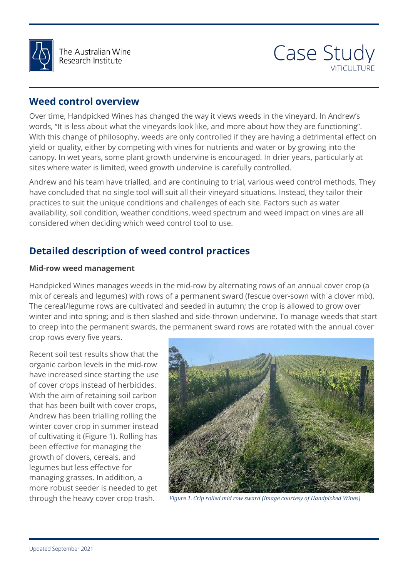



### **Weed control overview**

Over time, Handpicked Wines has changed the way it views weeds in the vineyard. In Andrew's words, "It is less about what the vineyards look like, and more about how they are functioning". With this change of philosophy, weeds are only controlled if they are having a detrimental effect on yield or quality, either by competing with vines for nutrients and water or by growing into the canopy. In wet years, some plant growth undervine is encouraged. In drier years, particularly at sites where water is limited, weed growth undervine is carefully controlled.

Andrew and his team have trialled, and are continuing to trial, various weed control methods. They have concluded that no single tool will suit all their vineyard situations. Instead, they tailor their practices to suit the unique conditions and challenges of each site. Factors such as water availability, soil condition, weather conditions, weed spectrum and weed impact on vines are all considered when deciding which weed control tool to use.

# **Detailed description of weed control practices**

#### **Mid-row weed management**

Handpicked Wines manages weeds in the mid-row by alternating rows of an annual cover crop (a<br>mix of seresle and lagymes) with rows of a narmaneant award (focus awar serve with a clayer mixi The cereal/legume rows are cultivated and seeded in autumn; the crop is allowed to grow over<br>winter and into spring; and is then slashed and side-thrown undervine. To manage weeds that start mix of cereals and legumes) with rows of a permanent sward (fescue over-sown with a clover mix). The cereal/legume rows are cultivated and seeded in autumn; the crop is allowed to grow over to creep into the permanent swards, the permanent sward rows are rotated with the annual cover crop rows every five years.

Recent soil test results show that the organic carbon levels in the mid-row have increased since starting the use of cover crops instead of herbicides. With the aim of retaining soil carbon that has been built with cover crops, Andrew has been trialling rolling the winter cover crop in summer instead of cultivating it (Figure 1). Rolling has been effective for managing the growth of clovers, cereals, and legumes but less effective for managing grasses. In addition, a more robust seeder is needed to get



through the heavy cover crop trash. *Figure 1. Crip rolled mid row sward (image courtesy of Handpicked Wines)*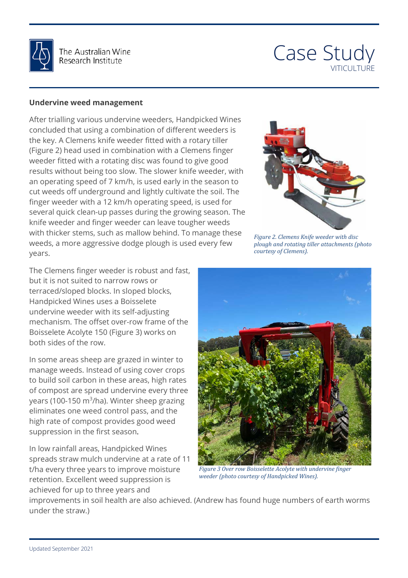

The Australian Wine Research Institute

# Case Study VITICULTURE

#### **Undervine weed management**

After trialling various undervine weeders, Handpicked Wines concluded that using a combination of different weeders is the key. A Clemens knife weeder fitted with a rotary tiller (Figure 2) head used in combination with a Clemens finger weeder fitted with a rotating disc was found to give good results without being too slow. The slower knife weeder, with an operating speed of 7 km/h, is used early in the season to cut weeds off underground and lightly cultivate the soil. The finger weeder with a 12 km/h operating speed, is used for several quick clean-up passes during the growing season. The knife weeder and finger weeder can leave tougher weeds with thicker stems, such as mallow behind. To manage these weeds, a more aggressive dodge plough is used every few years.

The Clemens finger weeder is robust and fast, but it is not suited to narrow rows or terraced/sloped blocks. In sloped blocks, Handpicked Wines uses a Boisselete undervine weeder with its self-adjusting mechanism. The offset over-row frame of the Boisselete Acolyte 150 (Figure 3) works on both sides of the row.

In some areas sheep are grazed in winter to manage weeds. Instead of using cover crops to build soil carbon in these areas, high rates of compost are spread undervine every three years (100-150 m<sup>3</sup>/ha). Winter sheep grazing eliminates one weed control pass, and the high rate of compost provides good weed suppression in the first season.

In low rainfall areas, Handpicked Wines spreads straw mulch undervine at a rate of 11 t/ha every three years to improve moisture retention. Excellent weed suppression is achieved for up to three years and



*plough and rotating tiller attachments (photo courtesy of Clemens).*



*Figure 3 Over row Boisselette Acolyte with undervine finger weeder (photo courtesy of Handpicked Wines).*

improvements in soil health are also achieved. (Andrew has found huge numbers of earth worms under the straw.)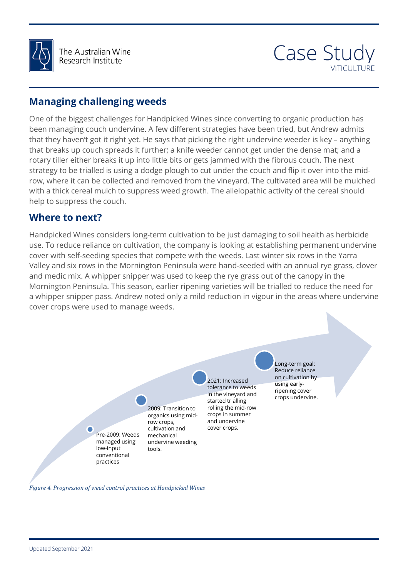

The Australian Wine Research Institute

# Case Study VITICULTURE

# **Managing challenging weeds**

One of the biggest challenges for Handpicked Wines since converting to organic production has been managing couch undervine. A few different strategies have been tried, but Andrew admits that they haven't got it right yet. He says that picking the right undervine weeder is key – anything that breaks up couch spreads it further; a knife weeder cannot get under the dense mat; and a rotary tiller either breaks it up into little bits or gets jammed with the fibrous couch. The next strategy to be trialled is using a dodge plough to cut under the couch and flip it over into the midrow, where it can be collected and removed from the vineyard. The cultivated area will be mulched with a thick cereal mulch to suppress weed growth. The allelopathic activity of the cereal should help to suppress the couch.

### **Where to next?**

 Handpicked Wines considers long-term cultivation to be just damaging to soil health as herbicide ' '<br>VS<br>I I and medic mix. A whipper shipper was used to keep the rye grass out of the canopy in the<br>Mornington Peninsula. This season, earlier ripening varieties will be trialled to reduce the need for use. To reduce reliance on cultivation, the company is looking at establishing permanent undervine cover with self-seeding species that compete with the weeds. Last winter six rows in the Yarra Valley and six rows in the Mornington Peninsula were hand-seeded with an annual rye grass, clover and medic mix. A whipper snipper was used to keep the rye grass out of the canopy in the a whipper snipper pass. Andrew noted only a mild reduction in vigour in the areas where undervine cover crops were used to manage weeds.

> Pre-2009: Weeds managed using low-input conventional practices

2009: Transition to organics using midrow crops, cultivation and mechanical undervine weeding tools.

2021: Increased tolerance to weeds in the vineyard and started trialling rolling the mid-row crops in summer and undervine cover crops.

 ripening cover Long-term goal: Reduce reliance on cultivation by using earlycrops undervine.

*Figure 4. Progression of weed control practices at Handpicked Wines*